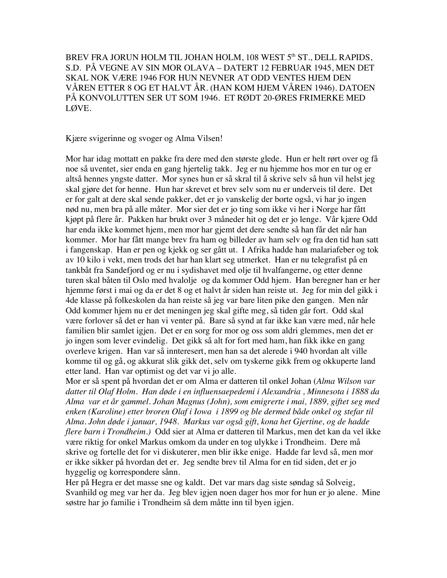BREV FRA JORUN HOLM TIL JOHAN HOLM, 108 WEST 5<sup>th</sup> ST., DELL RAPIDS, S.D. PÅ VEGNE AV SIN MOR OLAVA – DATERT 12 FEBRUAR 1945, MEN DET SKAL NOK VÆRE 1946 FOR HUN NEVNER AT ODD VENTES HJEM DEN VÅREN ETTER 8 OG ET HALVT ÅR. (HAN KOM HJEM VÅREN 1946). DATOEN PÅ KONVOLUTTEN SER UT SOM 1946. ET RØDT 20-ØRES FRIMERKE MED LØVE.

Kjære svigerinne og svoger og Alma Vilsen!

Mor har idag mottatt en pakke fra dere med den største glede. Hun er helt rørt over og få noe så uventet, sier enda en gang hjertelig takk. Jeg er nu hjemme hos mor en tur og er altså hennes yngste datter. Mor synes hun er så skral til å skrive selv så hun vil helst jeg skal gjøre det for henne. Hun har skrevet et brev selv som nu er underveis til dere. Det er for galt at dere skal sende pakker, det er jo vanskelig der borte også, vi har jo ingen nød nu, men bra på alle måter. Mor sier det er jo ting som ikke vi her i Norge har fått kjøpt på flere år. Pakken har brukt over 3 måneder hit og det er jo lenge. Vår kjære Odd har enda ikke kommet hjem, men mor har gjemt det dere sendte så han får det når han kommer. Mor har fått mange brev fra ham og billeder av ham selv og fra den tid han satt i fangenskap. Han er pen og kjekk og ser gått ut. I Afrika hadde han malariafeber og tok av 10 kilo i vekt, men trods det har han klart seg utmerket. Han er nu telegrafist på en tankbåt fra Sandefjord og er nu i sydishavet med olje til hvalfangerne, og etter denne turen skal båten til Oslo med hvalolje og da kommer Odd hjem. Han beregner han er her hjemme først i mai og da er det 8 og et halvt år siden han reiste ut. Jeg for min del gikk i 4de klasse på folkeskolen da han reiste så jeg var bare liten pike den gangen. Men når Odd kommer hjem nu er det meningen jeg skal gifte meg, så tiden går fort. Odd skal være forlover så det er han vi venter på. Bare så synd at far ikke kan være med, når hele familien blir samlet igjen. Det er en sorg for mor og oss som aldri glemmes, men det er jo ingen som lever evindelig. Det gikk så alt for fort med ham, han fikk ikke en gang overleve krigen. Han var så innteresert, men han sa det alerede i 940 hvordan alt ville komme til og gå, og akkurat slik gikk det, selv om tyskerne gikk frem og okkuperte land etter land. Han var optimist og det var vi jo alle.

Mor er så spent på hvordan det er om Alma er datteren til onkel Johan (*Alma Wilson var datter til Olaf Holm. Han døde i en influensaepedemi i Alexandria , Minnesota i 1888 da Alma var et år gammel. Johan Magnus (John), som emigrerte i mai, 1889, giftet seg med enken (Karoline) etter broren Olaf i Iowa i 1899 og ble dermed både onkel og stefar til Alma. John døde i januar, 1948. Markus var også gift, kona het Gjertine, og de hadde flere barn i Trondheim.)* Odd sier at Alma er datteren til Markus, men det kan da vel ikke være riktig for onkel Markus omkom da under en tog ulykke i Trondheim. Dere må skrive og fortelle det for vi diskuterer, men blir ikke enige. Hadde far levd så, men mor er ikke sikker på hvordan det er. Jeg sendte brev til Alma for en tid siden, det er jo hyggelig og korrespondere sånn.

Her på Hegra er det masse sne og kaldt. Det var mars dag siste søndag så Solveig, Svanhild og meg var her da. Jeg blev igjen noen dager hos mor for hun er jo alene. Mine søstre har jo familie i Trondheim så dem måtte inn til byen igjen.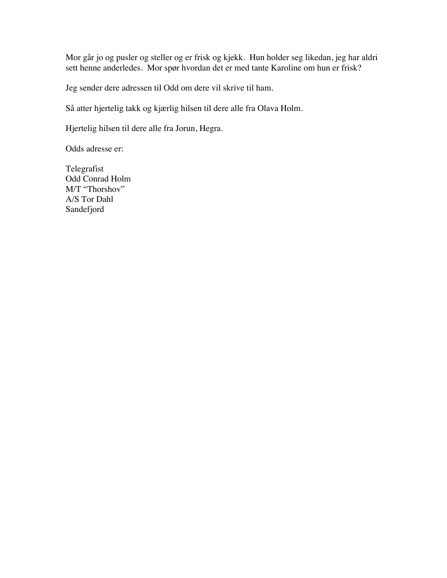Mor går jo og pusler og steller og er frisk og kjekk. Hun holder seg likedan, jeg har aldri sett henne anderledes. Mor spør hvordan det er med tante Karoline om hun er frisk?

Jeg sender dere adressen til Odd om dere vil skrive til ham.

Så atter hjertelig takk og kjærlig hilsen til dere alle fra Olava Holm.

Hjertelig hilsen til dere alle fra Jorun, Hegra.

Odds adresse er:

Telegrafist Odd Conrad Holm M/T "Thorshov" A/S Tor Dahl Sandefjord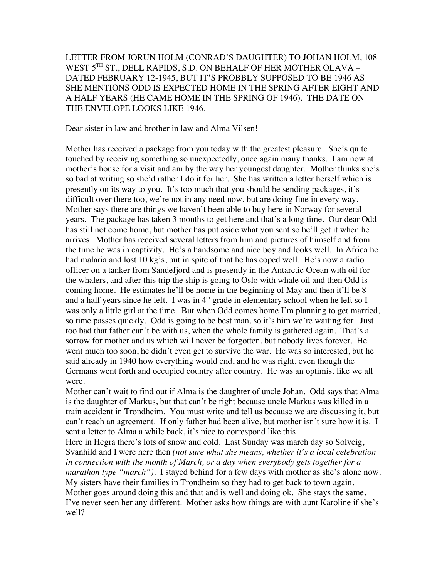LETTER FROM JORUN HOLM (CONRAD'S DAUGHTER) TO JOHAN HOLM, 108 WEST 5TH ST., DELL RAPIDS, S.D. ON BEHALF OF HER MOTHER OLAVA -DATED FEBRUARY 12-1945, BUT IT'S PROBBLY SUPPOSED TO BE 1946 AS SHE MENTIONS ODD IS EXPECTED HOME IN THE SPRING AFTER EIGHT AND A HALF YEARS (HE CAME HOME IN THE SPRING OF 1946). THE DATE ON THE ENVELOPE LOOKS LIKE 1946.

Dear sister in law and brother in law and Alma Vilsen!

Mother has received a package from you today with the greatest pleasure. She's quite touched by receiving something so unexpectedly, once again many thanks. I am now at mother's house for a visit and am by the way her youngest daughter. Mother thinks she's so bad at writing so she'd rather I do it for her. She has written a letter herself which is presently on its way to you. It's too much that you should be sending packages, it's difficult over there too, we're not in any need now, but are doing fine in every way. Mother says there are things we haven't been able to buy here in Norway for several years. The package has taken 3 months to get here and that's a long time. Our dear Odd has still not come home, but mother has put aside what you sent so he'll get it when he arrives. Mother has received several letters from him and pictures of himself and from the time he was in captivity. He's a handsome and nice boy and looks well. In Africa he had malaria and lost 10 kg's, but in spite of that he has coped well. He's now a radio officer on a tanker from Sandefjord and is presently in the Antarctic Ocean with oil for the whalers, and after this trip the ship is going to Oslo with whale oil and then Odd is coming home. He estimates he'll be home in the beginning of May and then it'll be 8 and a half years since he left. I was in  $4<sup>th</sup>$  grade in elementary school when he left so I was only a little girl at the time. But when Odd comes home I'm planning to get married, so time passes quickly. Odd is going to be best man, so it's him we're waiting for. Just too bad that father can't be with us, when the whole family is gathered again. That's a sorrow for mother and us which will never be forgotten, but nobody lives forever. He went much too soon, he didn't even get to survive the war. He was so interested, but he said already in 1940 how everything would end, and he was right, even though the Germans went forth and occupied country after country. He was an optimist like we all were.

Mother can't wait to find out if Alma is the daughter of uncle Johan. Odd says that Alma is the daughter of Markus, but that can't be right because uncle Markus was killed in a train accident in Trondheim. You must write and tell us because we are discussing it, but can't reach an agreement. If only father had been alive, but mother isn't sure how it is. I sent a letter to Alma a while back, it's nice to correspond like this.

Here in Hegra there's lots of snow and cold. Last Sunday was march day so Solveig, Svanhild and I were here then *(not sure what she means, whether it's a local celebration in connection with the month of March, or a day when everybody gets together for a marathon type "march")*. I stayed behind for a few days with mother as she's alone now. My sisters have their families in Trondheim so they had to get back to town again. Mother goes around doing this and that and is well and doing ok. She stays the same, I've never seen her any different. Mother asks how things are with aunt Karoline if she's well?